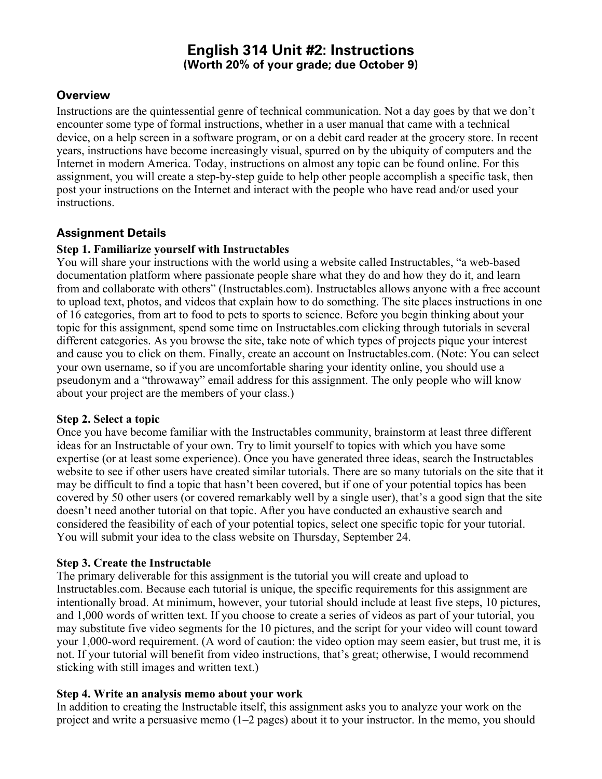# **English 314 Unit #2: Instructions (Worth 20% of your grade; due October 9)**

### **Overview**

Instructions are the quintessential genre of technical communication. Not a day goes by that we don't encounter some type of formal instructions, whether in a user manual that came with a technical device, on a help screen in a software program, or on a debit card reader at the grocery store. In recent years, instructions have become increasingly visual, spurred on by the ubiquity of computers and the Internet in modern America. Today, instructions on almost any topic can be found online. For this assignment, you will create a step-by-step guide to help other people accomplish a specific task, then post your instructions on the Internet and interact with the people who have read and/or used your instructions.

### **Assignment Details**

#### **Step 1. Familiarize yourself with Instructables**

You will share your instructions with the world using a website called Instructables, "a web-based documentation platform where passionate people share what they do and how they do it, and learn from and collaborate with others" (Instructables.com). Instructables allows anyone with a free account to upload text, photos, and videos that explain how to do something. The site places instructions in one of 16 categories, from art to food to pets to sports to science. Before you begin thinking about your topic for this assignment, spend some time on Instructables.com clicking through tutorials in several different categories. As you browse the site, take note of which types of projects pique your interest and cause you to click on them. Finally, create an account on Instructables.com. (Note: You can select your own username, so if you are uncomfortable sharing your identity online, you should use a pseudonym and a "throwaway" email address for this assignment. The only people who will know about your project are the members of your class.)

#### **Step 2. Select a topic**

Once you have become familiar with the Instructables community, brainstorm at least three different ideas for an Instructable of your own. Try to limit yourself to topics with which you have some expertise (or at least some experience). Once you have generated three ideas, search the Instructables website to see if other users have created similar tutorials. There are so many tutorials on the site that it may be difficult to find a topic that hasn't been covered, but if one of your potential topics has been covered by 50 other users (or covered remarkably well by a single user), that's a good sign that the site doesn't need another tutorial on that topic. After you have conducted an exhaustive search and considered the feasibility of each of your potential topics, select one specific topic for your tutorial. You will submit your idea to the class website on Thursday, September 24.

#### **Step 3. Create the Instructable**

The primary deliverable for this assignment is the tutorial you will create and upload to Instructables.com. Because each tutorial is unique, the specific requirements for this assignment are intentionally broad. At minimum, however, your tutorial should include at least five steps, 10 pictures, and 1,000 words of written text. If you choose to create a series of videos as part of your tutorial, you may substitute five video segments for the 10 pictures, and the script for your video will count toward your 1,000-word requirement. (A word of caution: the video option may seem easier, but trust me, it is not. If your tutorial will benefit from video instructions, that's great; otherwise, I would recommend sticking with still images and written text.)

#### **Step 4. Write an analysis memo about your work**

In addition to creating the Instructable itself, this assignment asks you to analyze your work on the project and write a persuasive memo (1–2 pages) about it to your instructor. In the memo, you should